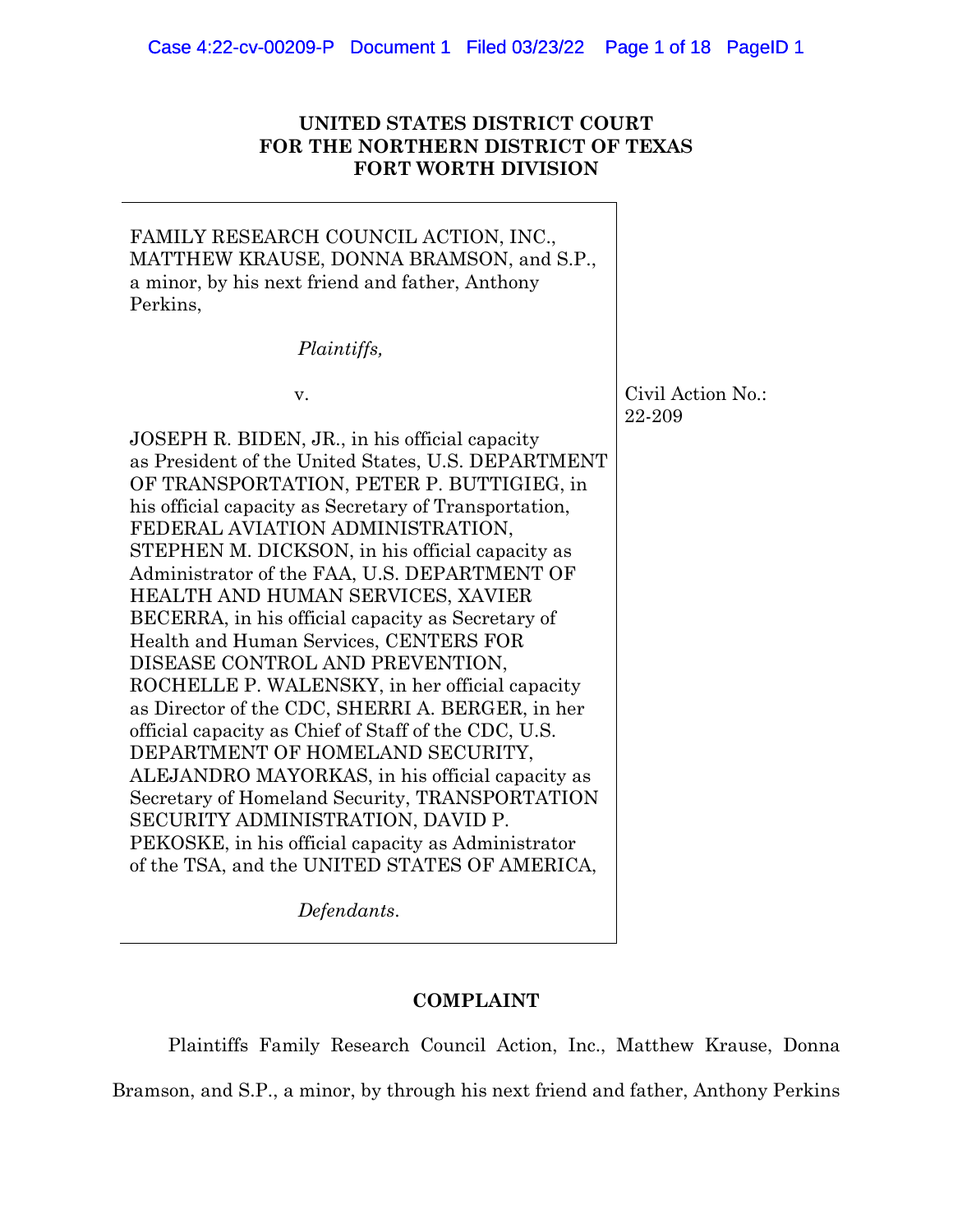# **UNITED STATES DISTRICT COURT FOR THE NORTHERN DISTRICT OF TEXAS FORT WORTH DIVISION**

FAMILY RESEARCH COUNCIL ACTION, INC., MATTHEW KRAUSE, DONNA BRAMSON, and S.P., a minor, by his next friend and father, Anthony Perkins, *Plaintiffs,* v. Civil Action No.: 22-209 JOSEPH R. BIDEN, JR., in his official capacity as President of the United States, U.S. DEPARTMENT OF TRANSPORTATION, PETER P. BUTTIGIEG, in his official capacity as Secretary of Transportation, FEDERAL AVIATION ADMINISTRATION, STEPHEN M. DICKSON, in his official capacity as Administrator of the FAA, U.S. DEPARTMENT OF HEALTH AND HUMAN SERVICES, XAVIER BECERRA, in his official capacity as Secretary of Health and Human Services, CENTERS FOR DISEASE CONTROL AND PREVENTION, ROCHELLE P. WALENSKY, in her official capacity as Director of the CDC, SHERRI A. BERGER, in her official capacity as Chief of Staff of the CDC, U.S. DEPARTMENT OF HOMELAND SECURITY, ALEJANDRO MAYORKAS, in his official capacity as Secretary of Homeland Security, TRANSPORTATION SECURITY ADMINISTRATION, DAVID P. PEKOSKE, in his official capacity as Administrator of the TSA, and the UNITED STATES OF AMERICA,

*Defendants*.

## **COMPLAINT**

Plaintiffs Family Research Council Action, Inc., Matthew Krause, Donna Bramson, and S.P., a minor, by through his next friend and father, Anthony Perkins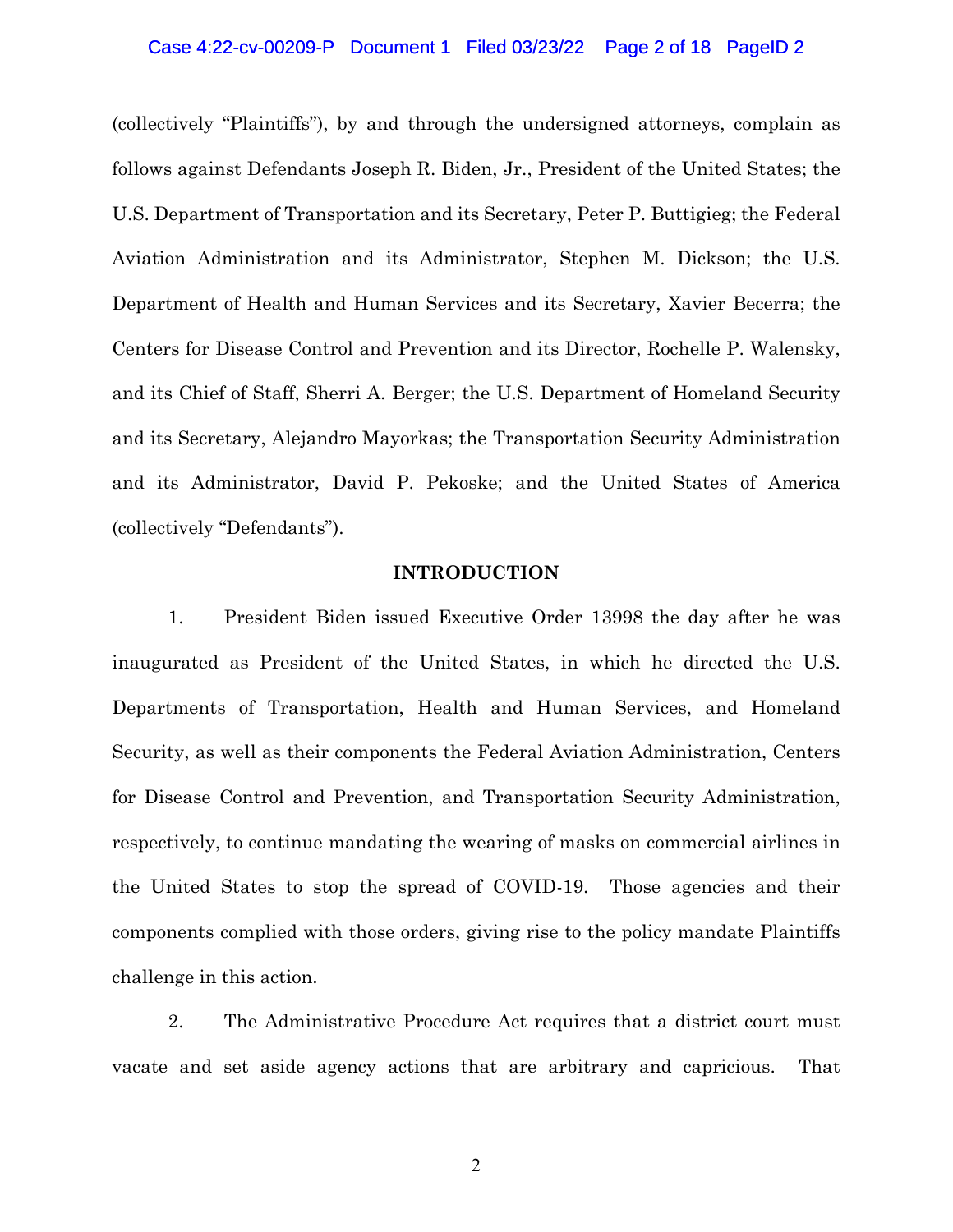#### Case 4:22-cv-00209-P Document 1 Filed 03/23/22 Page 2 of 18 PageID 2

(collectively "Plaintiffs"), by and through the undersigned attorneys, complain as follows against Defendants Joseph R. Biden, Jr., President of the United States; the U.S. Department of Transportation and its Secretary, Peter P. Buttigieg; the Federal Aviation Administration and its Administrator, Stephen M. Dickson; the U.S. Department of Health and Human Services and its Secretary, Xavier Becerra; the Centers for Disease Control and Prevention and its Director, Rochelle P. Walensky, and its Chief of Staff, Sherri A. Berger; the U.S. Department of Homeland Security and its Secretary, Alejandro Mayorkas; the Transportation Security Administration and its Administrator, David P. Pekoske; and the United States of America (collectively "Defendants").

### **INTRODUCTION**

1. President Biden issued Executive Order 13998 the day after he was inaugurated as President of the United States, in which he directed the U.S. Departments of Transportation, Health and Human Services, and Homeland Security, as well as their components the Federal Aviation Administration, Centers for Disease Control and Prevention, and Transportation Security Administration, respectively, to continue mandating the wearing of masks on commercial airlines in the United States to stop the spread of COVID-19. Those agencies and their components complied with those orders, giving rise to the policy mandate Plaintiffs challenge in this action.

2. The Administrative Procedure Act requires that a district court must vacate and set aside agency actions that are arbitrary and capricious. That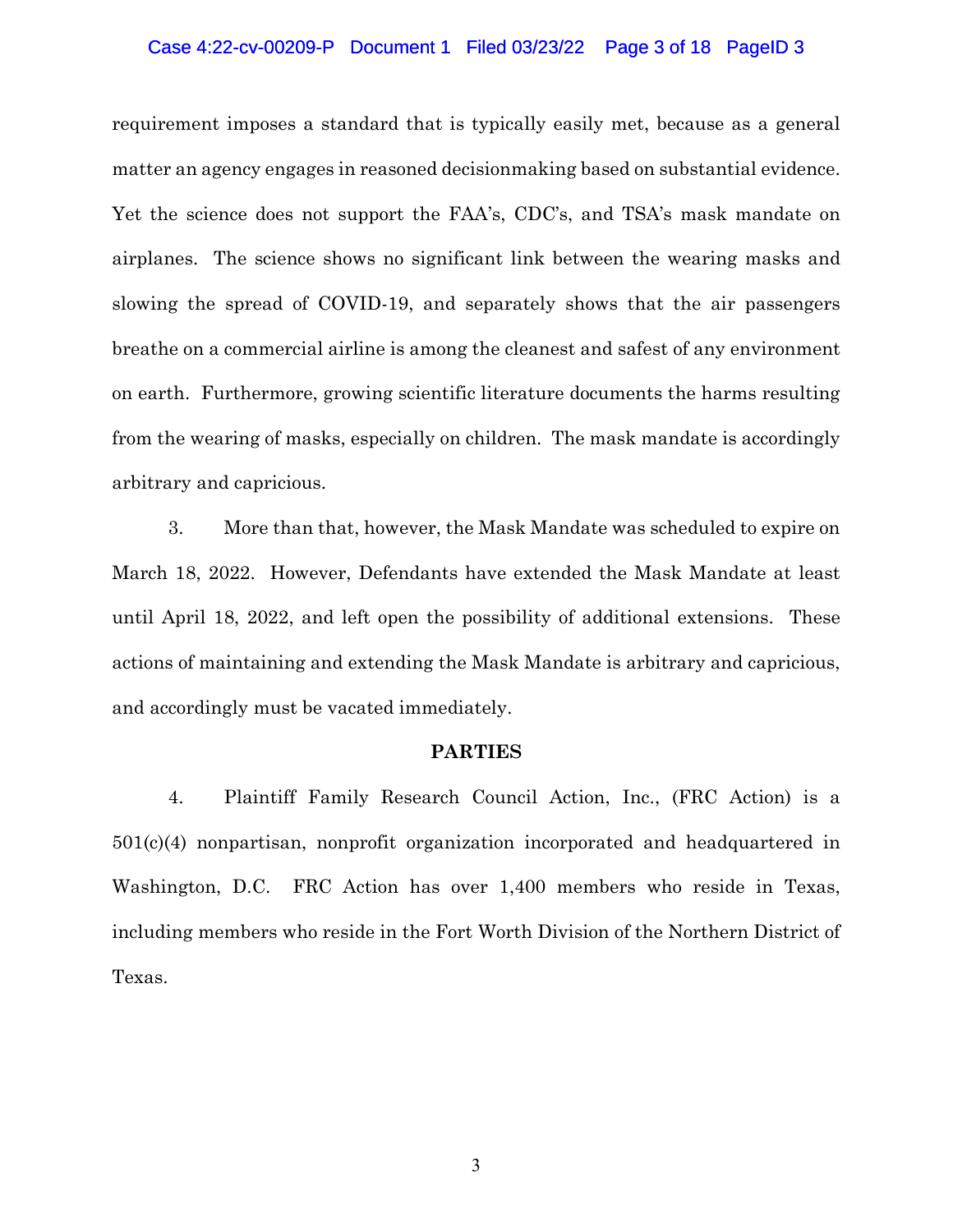#### Case 4:22-cv-00209-P Document 1 Filed 03/23/22 Page 3 of 18 PageID 3

requirement imposes a standard that is typically easily met, because as a general matter an agency engages in reasoned decisionmaking based on substantial evidence. Yet the science does not support the FAA's, CDC's, and TSA's mask mandate on airplanes. The science shows no significant link between the wearing masks and slowing the spread of COVID-19, and separately shows that the air passengers breathe on a commercial airline is among the cleanest and safest of any environment on earth. Furthermore, growing scientific literature documents the harms resulting from the wearing of masks, especially on children. The mask mandate is accordingly arbitrary and capricious.

3. More than that, however, the Mask Mandate was scheduled to expire on March 18, 2022. However, Defendants have extended the Mask Mandate at least until April 18, 2022, and left open the possibility of additional extensions. These actions of maintaining and extending the Mask Mandate is arbitrary and capricious, and accordingly must be vacated immediately.

### **PARTIES**

4. Plaintiff Family Research Council Action, Inc., (FRC Action) is a 501(c)(4) nonpartisan, nonprofit organization incorporated and headquartered in Washington, D.C. FRC Action has over 1,400 members who reside in Texas, including members who reside in the Fort Worth Division of the Northern District of Texas.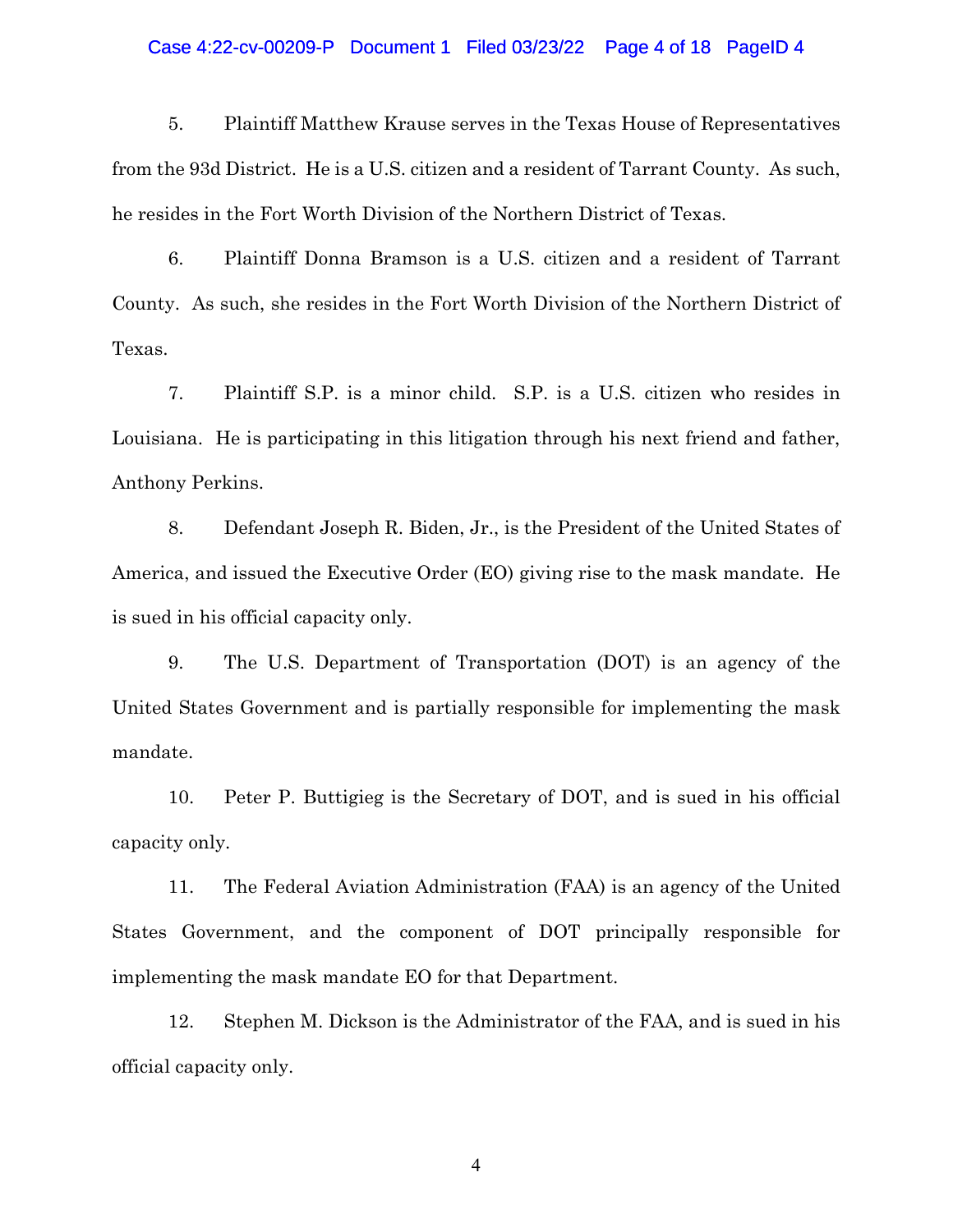#### Case 4:22-cv-00209-P Document 1 Filed 03/23/22 Page 4 of 18 PageID 4

5. Plaintiff Matthew Krause serves in the Texas House of Representatives from the 93d District. He is a U.S. citizen and a resident of Tarrant County. As such, he resides in the Fort Worth Division of the Northern District of Texas.

6. Plaintiff Donna Bramson is a U.S. citizen and a resident of Tarrant County. As such, she resides in the Fort Worth Division of the Northern District of Texas.

7. Plaintiff S.P. is a minor child. S.P. is a U.S. citizen who resides in Louisiana. He is participating in this litigation through his next friend and father, Anthony Perkins.

8. Defendant Joseph R. Biden, Jr., is the President of the United States of America, and issued the Executive Order (EO) giving rise to the mask mandate. He is sued in his official capacity only.

9. The U.S. Department of Transportation (DOT) is an agency of the United States Government and is partially responsible for implementing the mask mandate.

10. Peter P. Buttigieg is the Secretary of DOT, and is sued in his official capacity only.

11. The Federal Aviation Administration (FAA) is an agency of the United States Government, and the component of DOT principally responsible for implementing the mask mandate EO for that Department.

12. Stephen M. Dickson is the Administrator of the FAA, and is sued in his official capacity only.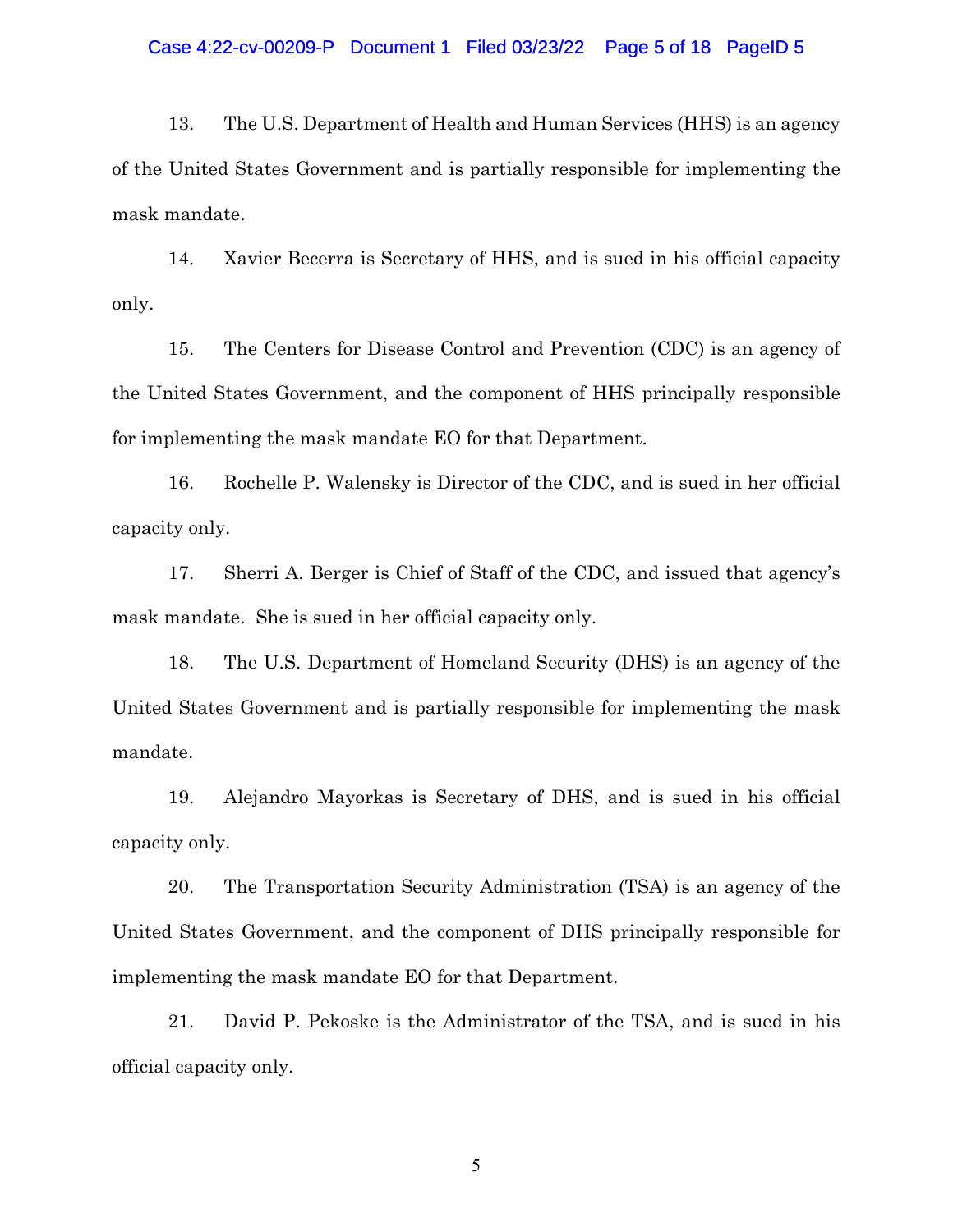### Case 4:22-cv-00209-P Document 1 Filed 03/23/22 Page 5 of 18 PageID 5

13. The U.S. Department of Health and Human Services (HHS) is an agency of the United States Government and is partially responsible for implementing the mask mandate.

14. Xavier Becerra is Secretary of HHS, and is sued in his official capacity only.

15. The Centers for Disease Control and Prevention (CDC) is an agency of the United States Government, and the component of HHS principally responsible for implementing the mask mandate EO for that Department.

16. Rochelle P. Walensky is Director of the CDC, and is sued in her official capacity only.

17. Sherri A. Berger is Chief of Staff of the CDC, and issued that agency's mask mandate. She is sued in her official capacity only.

18. The U.S. Department of Homeland Security (DHS) is an agency of the United States Government and is partially responsible for implementing the mask mandate.

19. Alejandro Mayorkas is Secretary of DHS, and is sued in his official capacity only.

20. The Transportation Security Administration (TSA) is an agency of the United States Government, and the component of DHS principally responsible for implementing the mask mandate EO for that Department.

21. David P. Pekoske is the Administrator of the TSA, and is sued in his official capacity only.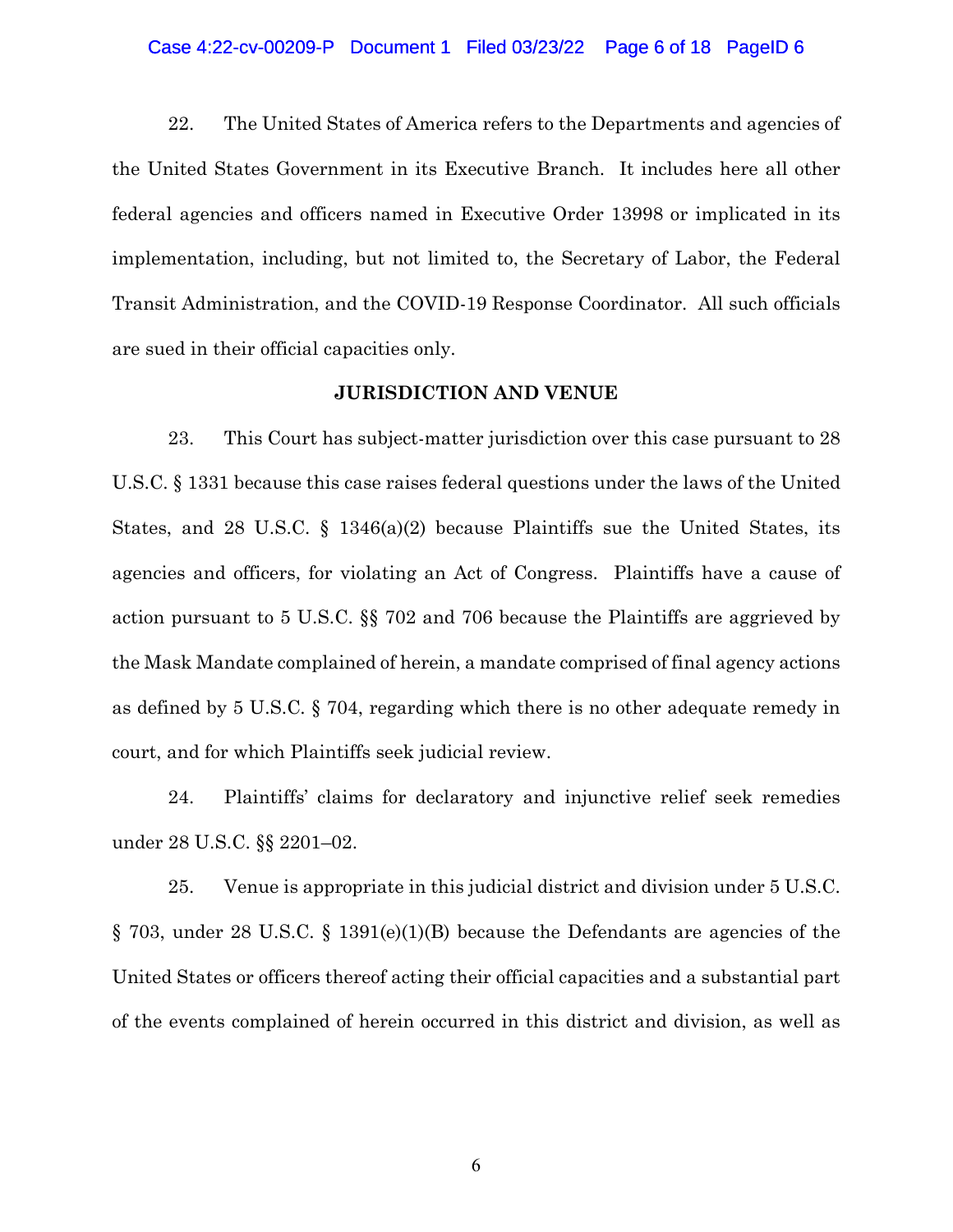#### Case 4:22-cv-00209-P Document 1 Filed 03/23/22 Page 6 of 18 PageID 6

22. The United States of America refers to the Departments and agencies of the United States Government in its Executive Branch. It includes here all other federal agencies and officers named in Executive Order 13998 or implicated in its implementation, including, but not limited to, the Secretary of Labor, the Federal Transit Administration, and the COVID-19 Response Coordinator. All such officials are sued in their official capacities only.

## **JURISDICTION AND VENUE**

23. This Court has subject-matter jurisdiction over this case pursuant to 28 U.S.C. § 1331 because this case raises federal questions under the laws of the United States, and 28 U.S.C. § 1346(a)(2) because Plaintiffs sue the United States, its agencies and officers, for violating an Act of Congress. Plaintiffs have a cause of action pursuant to 5 U.S.C. §§ 702 and 706 because the Plaintiffs are aggrieved by the Mask Mandate complained of herein, a mandate comprised of final agency actions as defined by 5 U.S.C. § 704, regarding which there is no other adequate remedy in court, and for which Plaintiffs seek judicial review.

24. Plaintiffs' claims for declaratory and injunctive relief seek remedies under 28 U.S.C. §§ 2201–02.

25. Venue is appropriate in this judicial district and division under 5 U.S.C. § 703, under 28 U.S.C. § 1391(e)(1)(B) because the Defendants are agencies of the United States or officers thereof acting their official capacities and a substantial part of the events complained of herein occurred in this district and division, as well as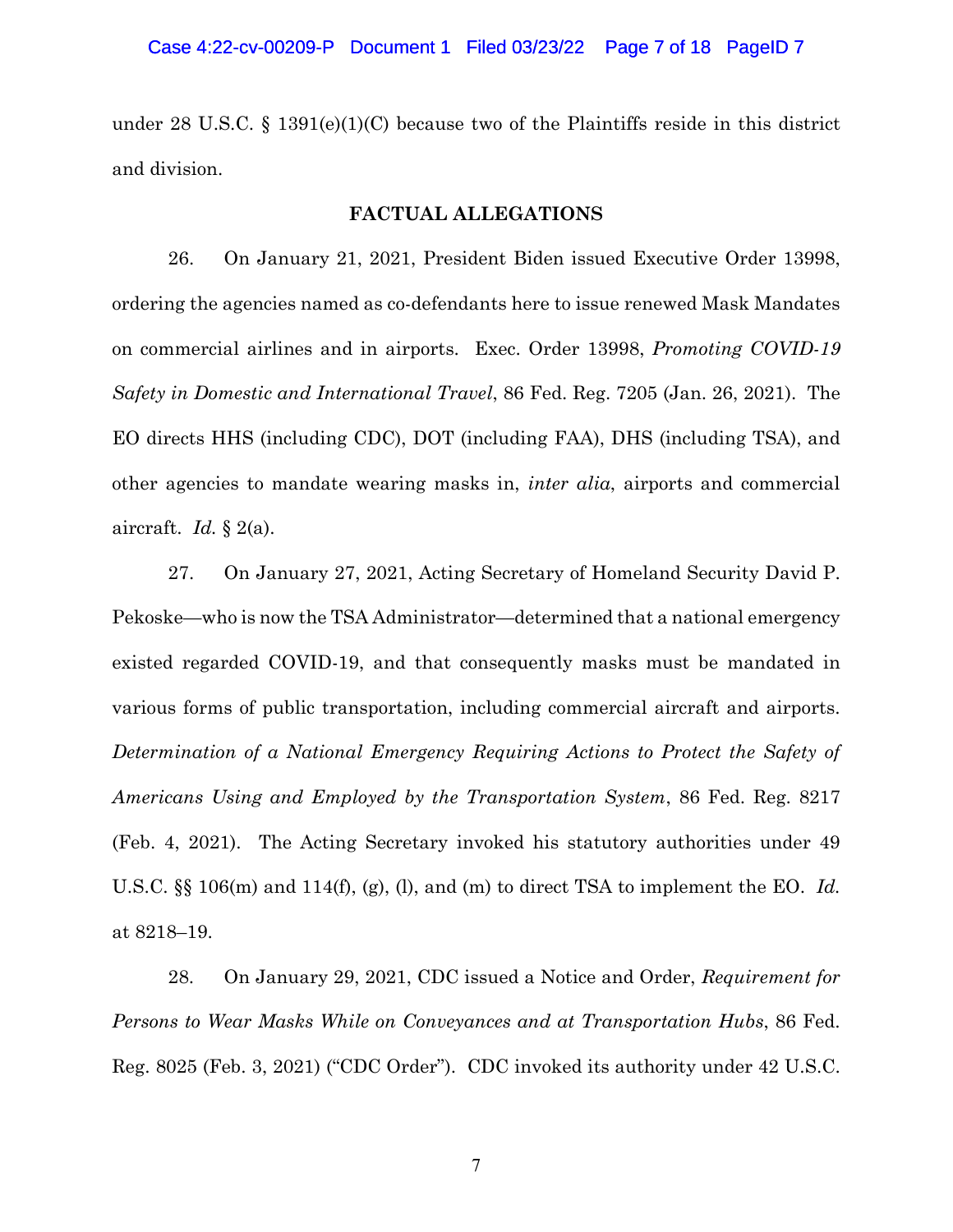under 28 U.S.C. § 1391(e)(1)(C) because two of the Plaintiffs reside in this district and division.

### **FACTUAL ALLEGATIONS**

26. On January 21, 2021, President Biden issued Executive Order 13998, ordering the agencies named as co-defendants here to issue renewed Mask Mandates on commercial airlines and in airports. Exec. Order 13998, *Promoting COVID-19 Safety in Domestic and International Travel*, 86 Fed. Reg. 7205 (Jan. 26, 2021). The EO directs HHS (including CDC), DOT (including FAA), DHS (including TSA), and other agencies to mandate wearing masks in, *inter alia*, airports and commercial aircraft. *Id.* § 2(a).

27. On January 27, 2021, Acting Secretary of Homeland Security David P. Pekoske—who is now the TSA Administrator—determined that a national emergency existed regarded COVID-19, and that consequently masks must be mandated in various forms of public transportation, including commercial aircraft and airports. *Determination of a National Emergency Requiring Actions to Protect the Safety of Americans Using and Employed by the Transportation System*, 86 Fed. Reg. 8217 (Feb. 4, 2021). The Acting Secretary invoked his statutory authorities under 49 U.S.C. §§ 106(m) and 114(f), (g), (l), and (m) to direct TSA to implement the EO. *Id.* at 8218–19.

28. On January 29, 2021, CDC issued a Notice and Order, *Requirement for Persons to Wear Masks While on Conveyances and at Transportation Hubs*, 86 Fed. Reg. 8025 (Feb. 3, 2021) ("CDC Order"). CDC invoked its authority under 42 U.S.C.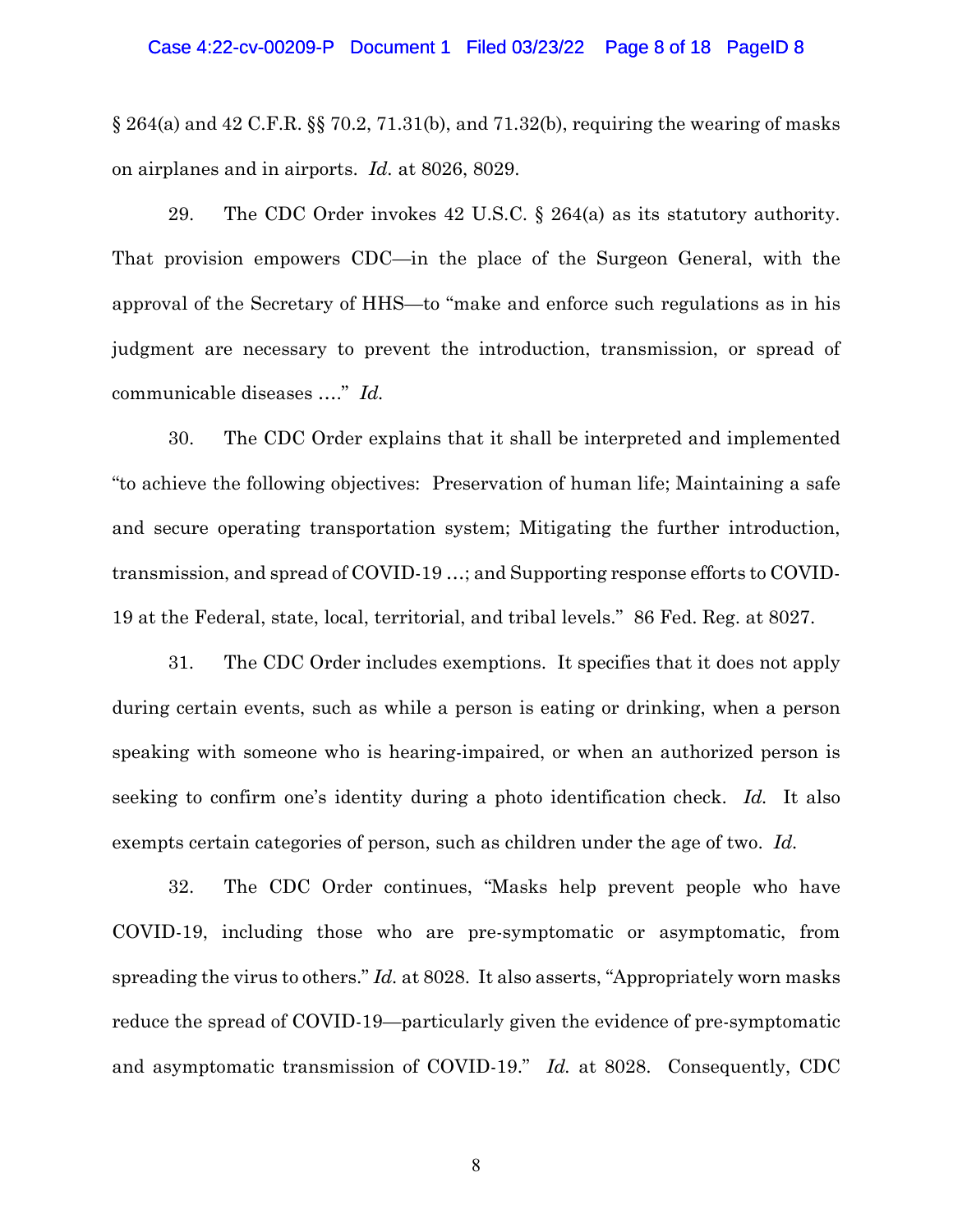#### Case 4:22-cv-00209-P Document 1 Filed 03/23/22 Page 8 of 18 PageID 8

 $\S 264(a)$  and 42 C.F.R.  $\S 70.2$ , 71.31(b), and 71.32(b), requiring the wearing of masks on airplanes and in airports. *Id.* at 8026, 8029.

29. The CDC Order invokes 42 U.S.C. § 264(a) as its statutory authority. That provision empowers CDC—in the place of the Surgeon General, with the approval of the Secretary of HHS—to "make and enforce such regulations as in his judgment are necessary to prevent the introduction, transmission, or spread of communicable diseases …." *Id.*

30. The CDC Order explains that it shall be interpreted and implemented "to achieve the following objectives: Preservation of human life; Maintaining a safe and secure operating transportation system; Mitigating the further introduction, transmission, and spread of COVID-19 …; and Supporting response efforts to COVID-19 at the Federal, state, local, territorial, and tribal levels." 86 Fed. Reg. at 8027.

31. The CDC Order includes exemptions. It specifies that it does not apply during certain events, such as while a person is eating or drinking, when a person speaking with someone who is hearing-impaired, or when an authorized person is seeking to confirm one's identity during a photo identification check. *Id.* It also exempts certain categories of person, such as children under the age of two. *Id.*

32. The CDC Order continues, "Masks help prevent people who have COVID-19, including those who are pre-symptomatic or asymptomatic, from spreading the virus to others." *Id.* at 8028. It also asserts, "Appropriately worn masks reduce the spread of COVID-19—particularly given the evidence of pre-symptomatic and asymptomatic transmission of COVID-19." *Id.* at 8028. Consequently, CDC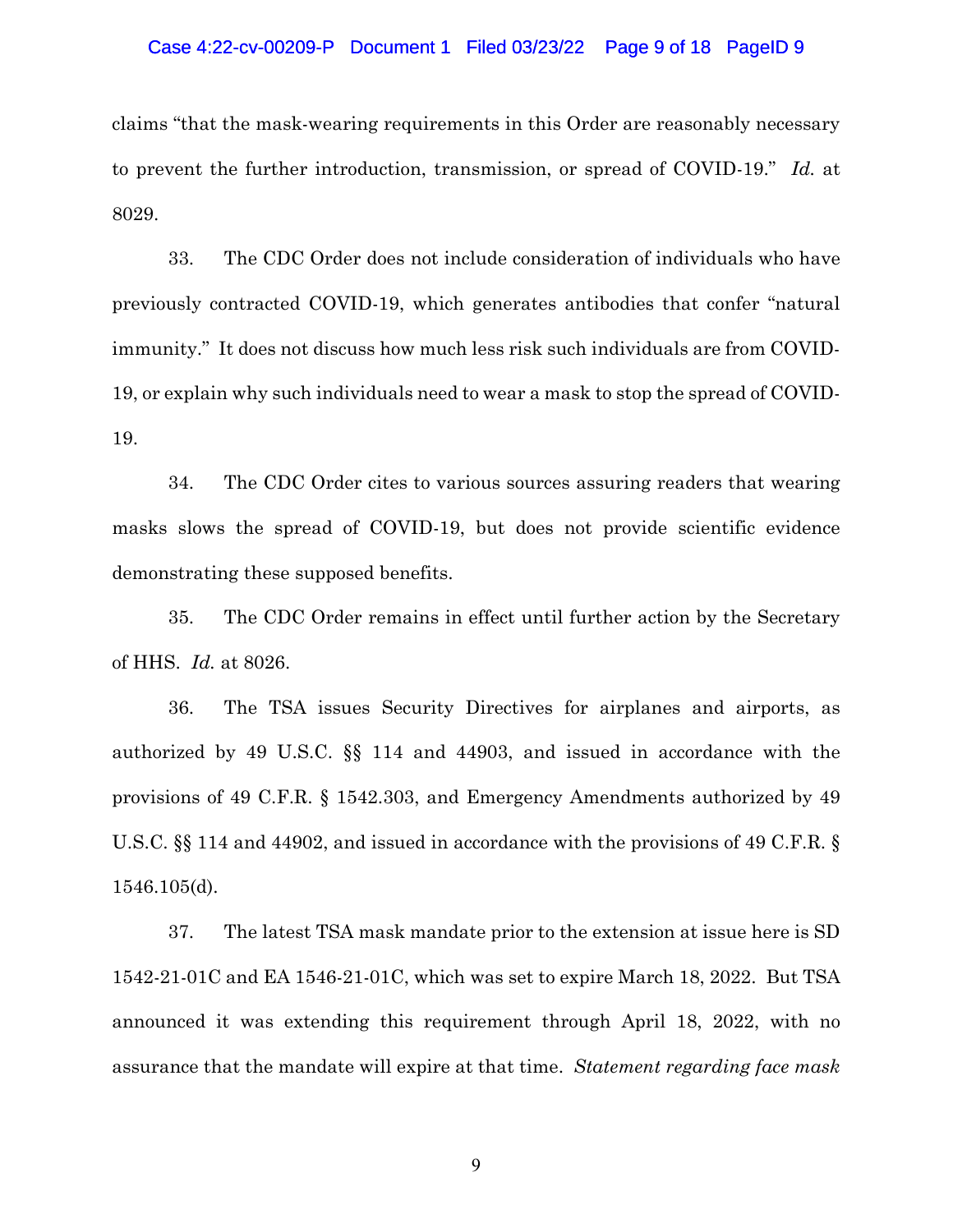#### Case 4:22-cv-00209-P Document 1 Filed 03/23/22 Page 9 of 18 PageID 9

claims "that the mask-wearing requirements in this Order are reasonably necessary to prevent the further introduction, transmission, or spread of COVID-19." *Id.* at 8029.

33. The CDC Order does not include consideration of individuals who have previously contracted COVID-19, which generates antibodies that confer "natural immunity." It does not discuss how much less risk such individuals are from COVID-19, or explain why such individuals need to wear a mask to stop the spread of COVID-19.

34. The CDC Order cites to various sources assuring readers that wearing masks slows the spread of COVID-19, but does not provide scientific evidence demonstrating these supposed benefits.

35. The CDC Order remains in effect until further action by the Secretary of HHS. *Id.* at 8026.

36. The TSA issues Security Directives for airplanes and airports, as authorized by 49 U.S.C. §§ 114 and 44903, and issued in accordance with the provisions of 49 C.F.R. § 1542.303, and Emergency Amendments authorized by 49 U.S.C. §§ 114 and 44902, and issued in accordance with the provisions of 49 C.F.R. § 1546.105(d).

37. The latest TSA mask mandate prior to the extension at issue here is SD 1542-21-01C and EA 1546-21-01C, which was set to expire March 18, 2022. But TSA announced it was extending this requirement through April 18, 2022, with no assurance that the mandate will expire at that time. *Statement regarding face mask*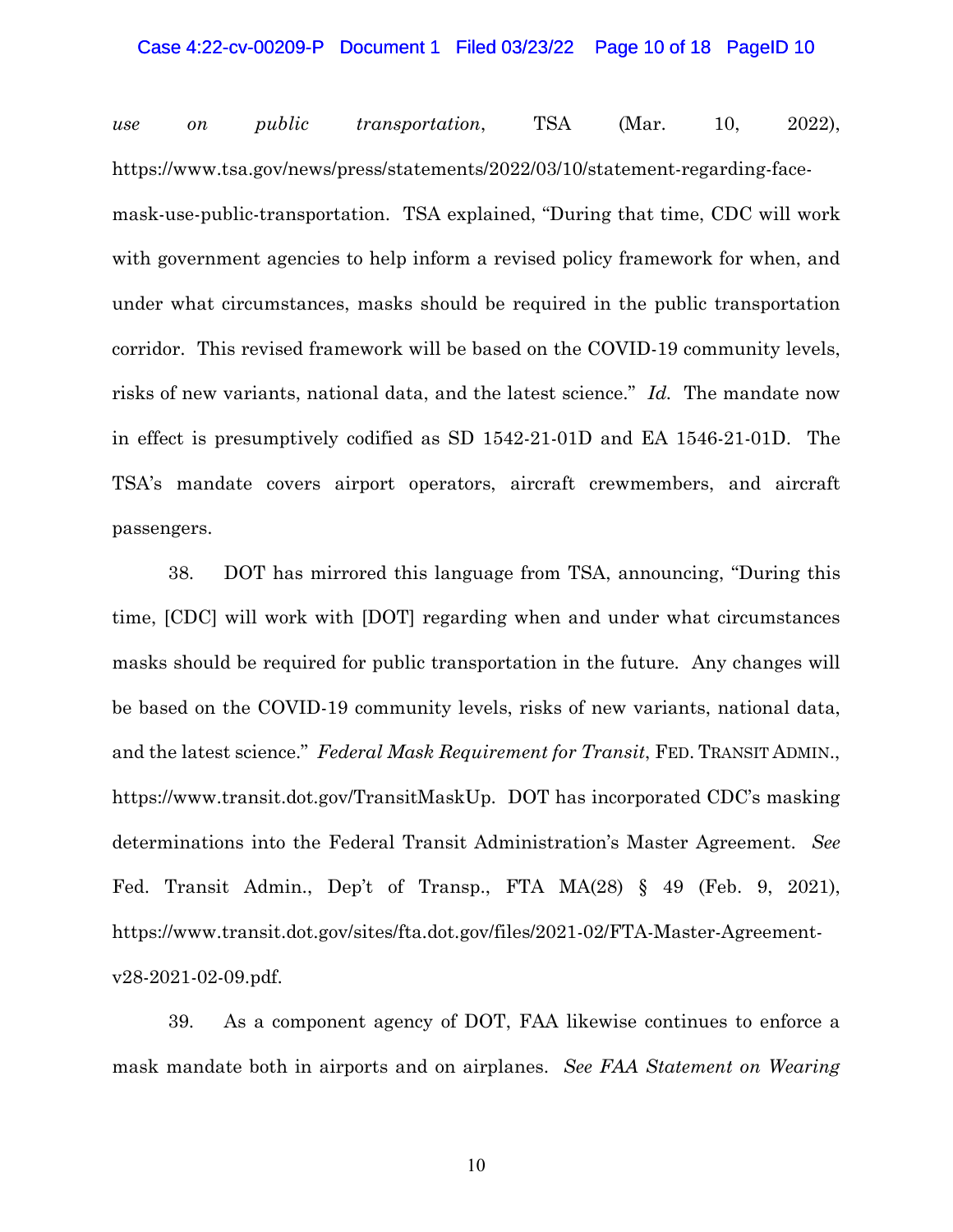#### Case 4:22-cv-00209-P Document 1 Filed 03/23/22 Page 10 of 18 PageID 10

*use on public transportation*, TSA (Mar. 10, 2022), [https://www.tsa.gov/news/press/statements/2022/03/10/statement-regarding-face](https://www.tsa.gov/news/press/statements/2022/03/10/statement-regarding-face-mask-use-public-transportation)[mask-use-public-transportation.](https://www.tsa.gov/news/press/statements/2022/03/10/statement-regarding-face-mask-use-public-transportation) TSA explained, "During that time, CDC will work with government agencies to help inform a revised policy framework for when, and under what circumstances, masks should be required in the public transportation corridor. This revised framework will be based on the COVID-19 community levels, risks of new variants, national data, and the latest science." *Id.* The mandate now in effect is presumptively codified as SD 1542-21-01D and EA 1546-21-01D. The TSA's mandate covers airport operators, aircraft crewmembers, and aircraft passengers.

38. DOT has mirrored this language from TSA, announcing, "During this time, [CDC] will work with [DOT] regarding when and under what circumstances masks should be required for public transportation in the future. Any changes will be based on the COVID-19 community levels, risks of new variants, national data, and the latest science." *Federal Mask Requirement for Transit*, FED. TRANSIT ADMIN., [https://www.transit.dot.gov/TransitMaskUp.](https://www.transit.dot.gov/TransitMaskUp) DOT has incorporated CDC's masking determinations into the Federal Transit Administration's Master Agreement. *See* Fed. Transit Admin., Dep't of Transp., FTA MA(28) § 49 (Feb. 9, 2021), [https://www.transit.dot.gov/sites/fta.dot.gov/files/2021-02/FTA-Master-Agreement](https://www.transit.dot.gov/sites/fta.dot.gov/files/2021-02/FTA-Master-Agreement-v28-2021-02-09.pdf)[v28-2021-02-09.pdf.](https://www.transit.dot.gov/sites/fta.dot.gov/files/2021-02/FTA-Master-Agreement-v28-2021-02-09.pdf)

39. As a component agency of DOT, FAA likewise continues to enforce a mask mandate both in airports and on airplanes. *See FAA Statement on Wearing*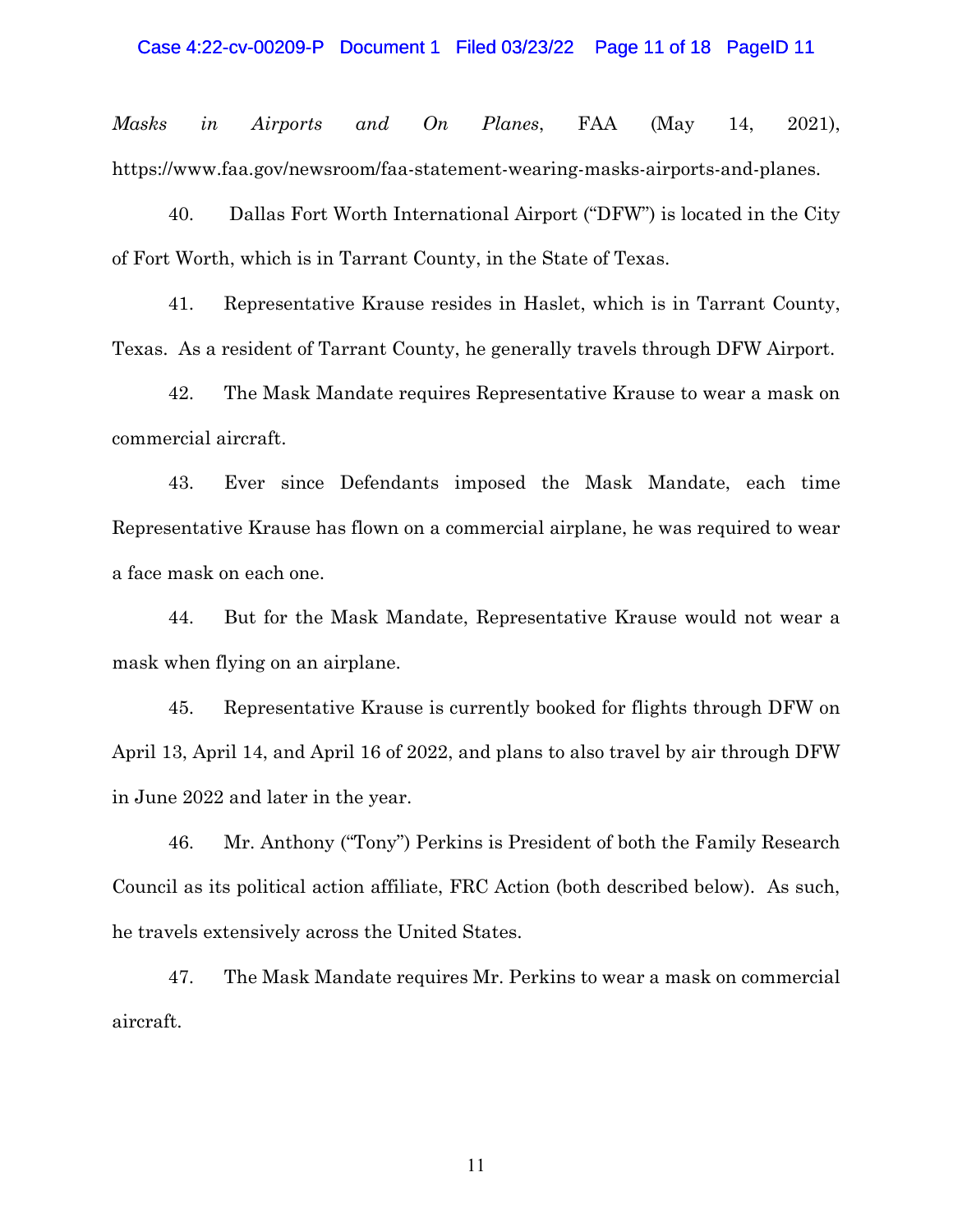*Masks in Airports and On Planes*, FAA (May 14, 2021), [https://www.faa.gov/newsroom/faa-statement-wearing-masks-airports-and-planes.](https://www.faa.gov/newsroom/faa-statement-wearing-masks-airports-and-planes)

40. Dallas Fort Worth International Airport ("DFW") is located in the City of Fort Worth, which is in Tarrant County, in the State of Texas.

41. Representative Krause resides in Haslet, which is in Tarrant County, Texas. As a resident of Tarrant County, he generally travels through DFW Airport.

42. The Mask Mandate requires Representative Krause to wear a mask on commercial aircraft.

43. Ever since Defendants imposed the Mask Mandate, each time Representative Krause has flown on a commercial airplane, he was required to wear a face mask on each one.

44. But for the Mask Mandate, Representative Krause would not wear a mask when flying on an airplane.

45. Representative Krause is currently booked for flights through DFW on April 13, April 14, and April 16 of 2022, and plans to also travel by air through DFW in June 2022 and later in the year.

46. Mr. Anthony ("Tony") Perkins is President of both the Family Research Council as its political action affiliate, FRC Action (both described below). As such, he travels extensively across the United States.

47. The Mask Mandate requires Mr. Perkins to wear a mask on commercial aircraft.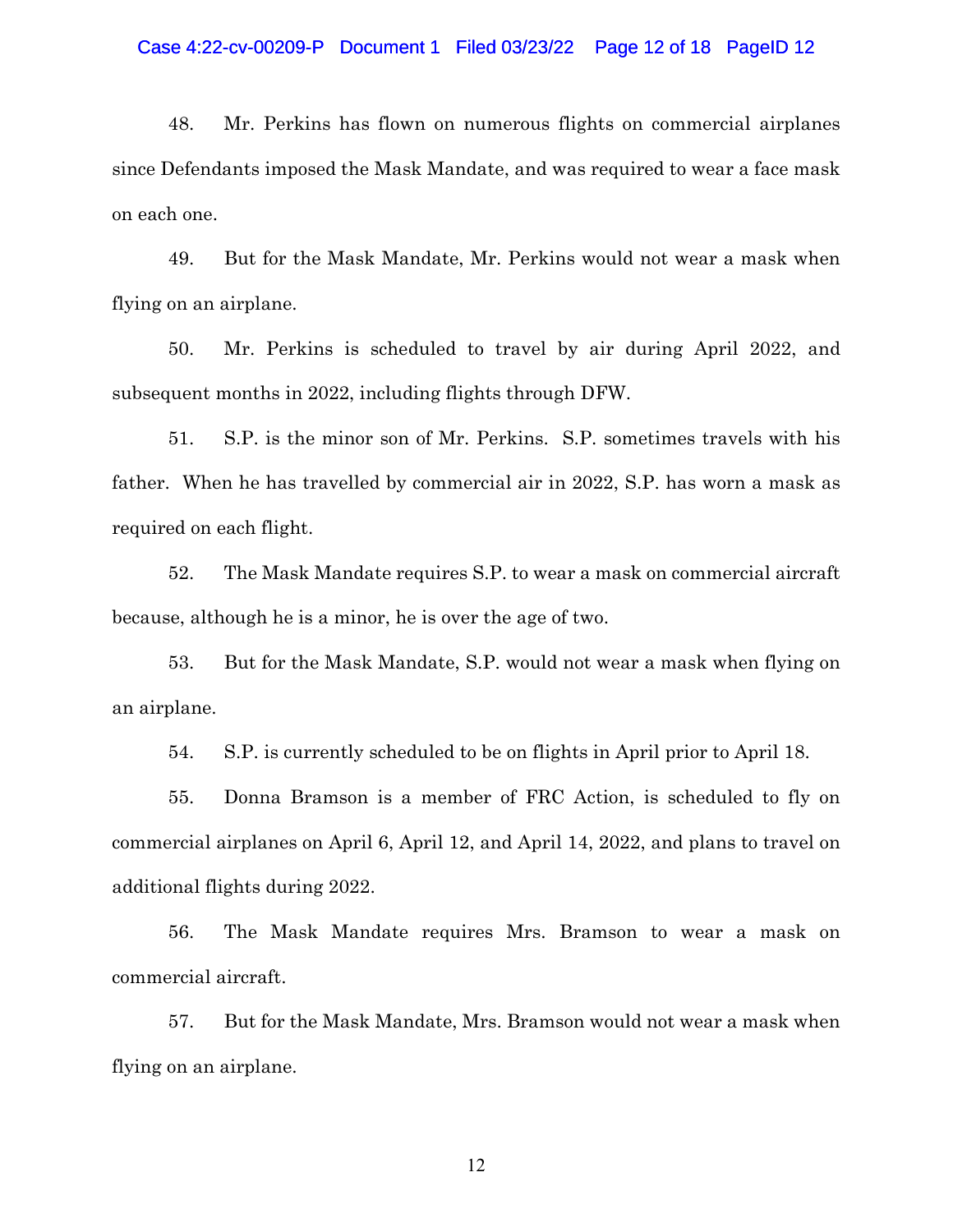#### Case 4:22-cv-00209-P Document 1 Filed 03/23/22 Page 12 of 18 PageID 12

48. Mr. Perkins has flown on numerous flights on commercial airplanes since Defendants imposed the Mask Mandate, and was required to wear a face mask on each one.

49. But for the Mask Mandate, Mr. Perkins would not wear a mask when flying on an airplane.

50. Mr. Perkins is scheduled to travel by air during April 2022, and subsequent months in 2022, including flights through DFW.

51. S.P. is the minor son of Mr. Perkins. S.P. sometimes travels with his father. When he has travelled by commercial air in 2022, S.P. has worn a mask as required on each flight.

52. The Mask Mandate requires S.P. to wear a mask on commercial aircraft because, although he is a minor, he is over the age of two.

53. But for the Mask Mandate, S.P. would not wear a mask when flying on an airplane.

54. S.P. is currently scheduled to be on flights in April prior to April 18.

55. Donna Bramson is a member of FRC Action, is scheduled to fly on commercial airplanes on April 6, April 12, and April 14, 2022, and plans to travel on additional flights during 2022.

56. The Mask Mandate requires Mrs. Bramson to wear a mask on commercial aircraft.

57. But for the Mask Mandate, Mrs. Bramson would not wear a mask when flying on an airplane.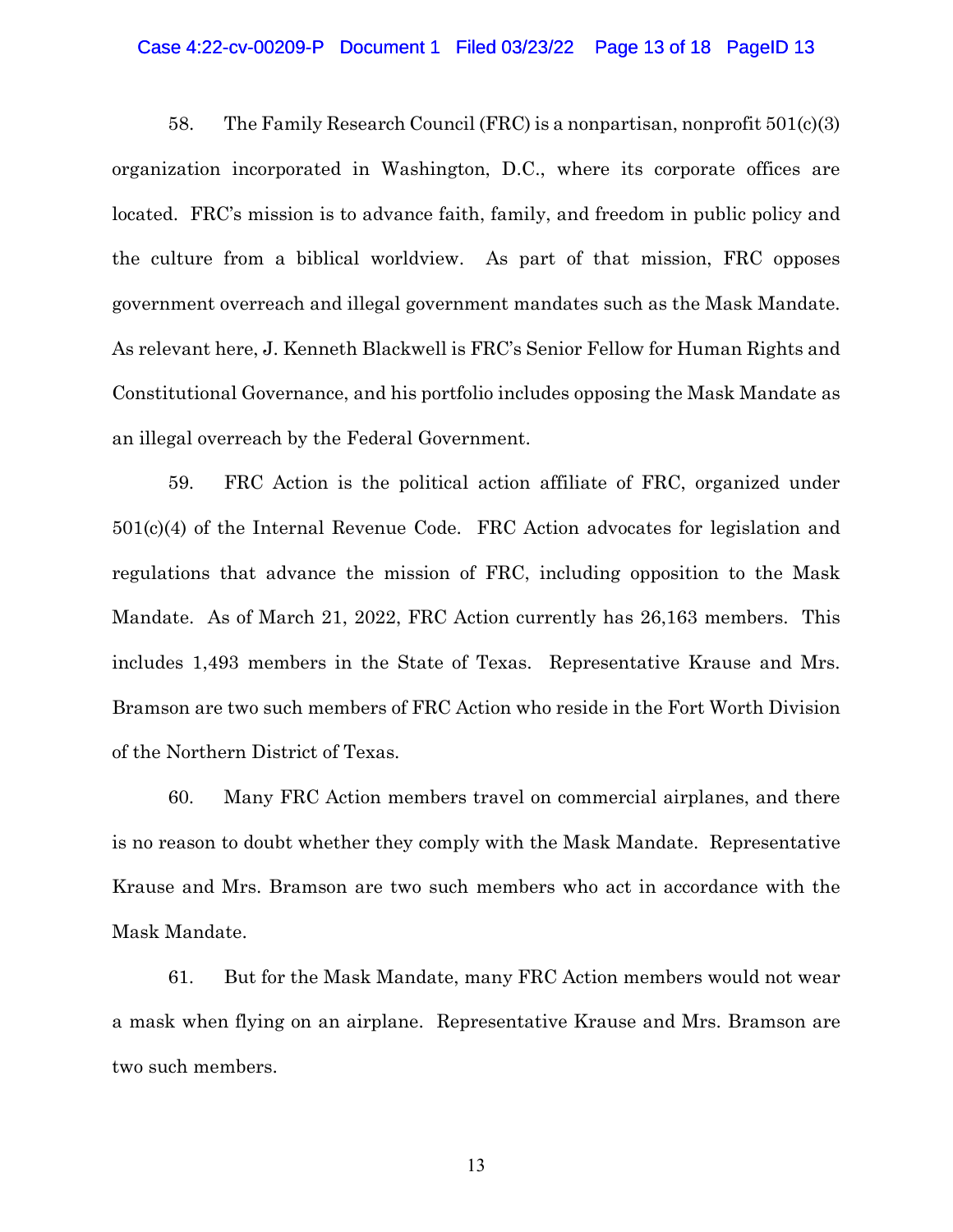#### Case 4:22-cv-00209-P Document 1 Filed 03/23/22 Page 13 of 18 PageID 13

58. The Family Research Council (FRC) is a nonpartisan, nonprofit 501(c)(3) organization incorporated in Washington, D.C., where its corporate offices are located. FRC's mission is to advance faith, family, and freedom in public policy and the culture from a biblical worldview. As part of that mission, FRC opposes government overreach and illegal government mandates such as the Mask Mandate. As relevant here, J. Kenneth Blackwell is FRC's Senior Fellow for Human Rights and Constitutional Governance, and his portfolio includes opposing the Mask Mandate as an illegal overreach by the Federal Government.

59. FRC Action is the political action affiliate of FRC, organized under 501(c)(4) of the Internal Revenue Code. FRC Action advocates for legislation and regulations that advance the mission of FRC, including opposition to the Mask Mandate. As of March 21, 2022, FRC Action currently has 26,163 members. This includes 1,493 members in the State of Texas. Representative Krause and Mrs. Bramson are two such members of FRC Action who reside in the Fort Worth Division of the Northern District of Texas.

60. Many FRC Action members travel on commercial airplanes, and there is no reason to doubt whether they comply with the Mask Mandate. Representative Krause and Mrs. Bramson are two such members who act in accordance with the Mask Mandate.

61. But for the Mask Mandate, many FRC Action members would not wear a mask when flying on an airplane. Representative Krause and Mrs. Bramson are two such members.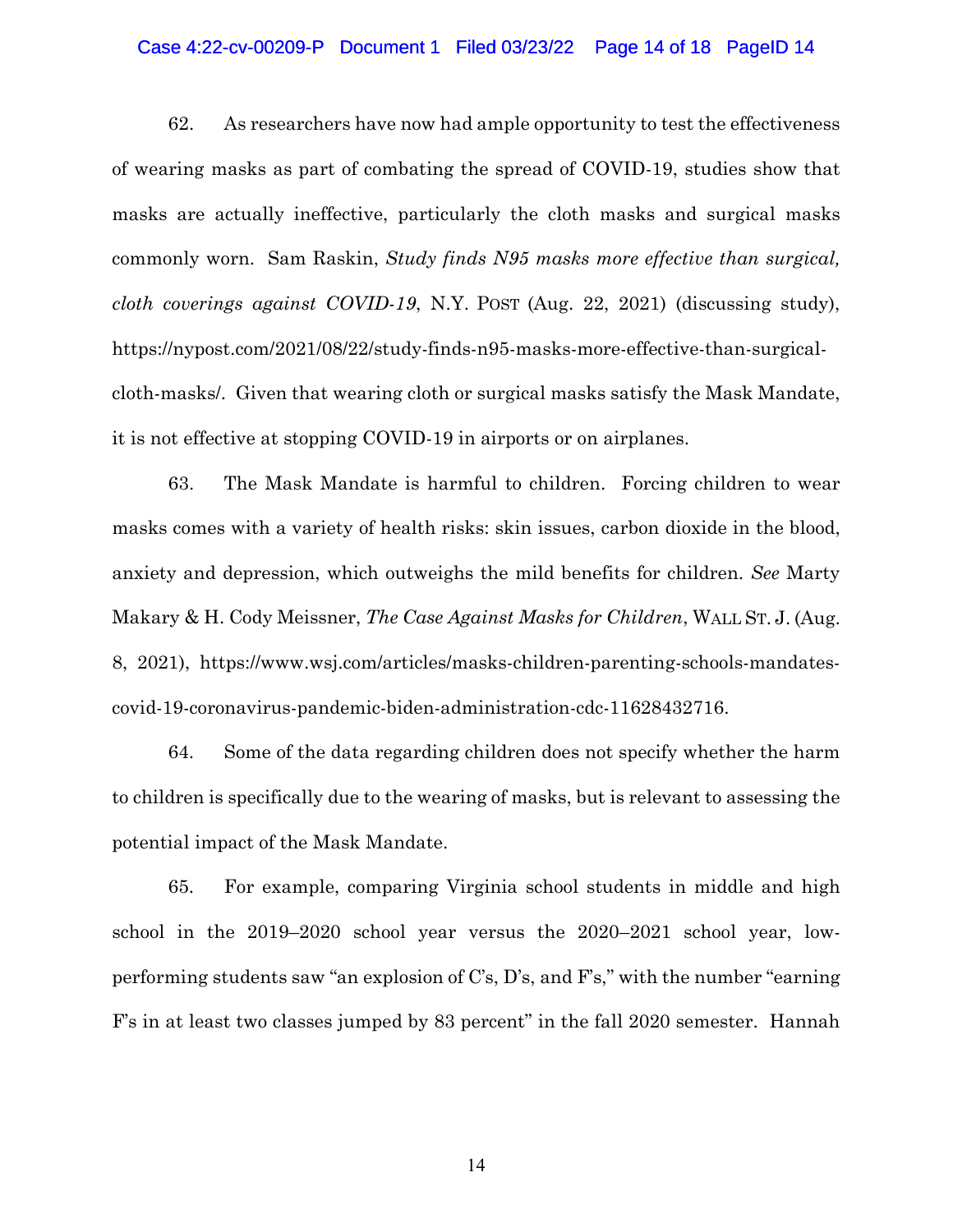#### Case 4:22-cv-00209-P Document 1 Filed 03/23/22 Page 14 of 18 PageID 14

62. As researchers have now had ample opportunity to test the effectiveness of wearing masks as part of combating the spread of COVID-19, studies show that masks are actually ineffective, particularly the cloth masks and surgical masks commonly worn. Sam Raskin, *Study finds N95 masks more effective than surgical, cloth coverings against COVID-19*, N.Y. POST (Aug. 22, 2021) (discussing study), [https://nypost.com/2021/08/22/study-finds-n95-masks-more-effective-than-surgical](https://nypost.com/2021/08/22/study-finds-n95-masks-more-effective-than-surgical-cloth-masks/)[cloth-masks/.](https://nypost.com/2021/08/22/study-finds-n95-masks-more-effective-than-surgical-cloth-masks/) Given that wearing cloth or surgical masks satisfy the Mask Mandate, it is not effective at stopping COVID-19 in airports or on airplanes.

63. The Mask Mandate is harmful to children. Forcing children to wear masks comes with a variety of health risks: skin issues, carbon dioxide in the blood, anxiety and depression, which outweighs the mild benefits for children. *See* Marty Makary & H. Cody Meissner, *The Case Against Masks for Children*, WALL ST. J. (Aug. 8, 2021), [https://www.wsj.com/articles/masks-children-parenting-schools-mandates](https://www.wsj.com/articles/masks-children-parenting-schools-mandates-covid-19-coronavirus-pandemic-biden-administration-cdc-11628432716)[covid-19-coronavirus-pandemic-biden-administration-cdc-11628432716.](https://www.wsj.com/articles/masks-children-parenting-schools-mandates-covid-19-coronavirus-pandemic-biden-administration-cdc-11628432716)

64. Some of the data regarding children does not specify whether the harm to children is specifically due to the wearing of masks, but is relevant to assessing the potential impact of the Mask Mandate.

65. For example, comparing Virginia school students in middle and high school in the 2019–2020 school year versus the 2020–2021 school year, lowperforming students saw "an explosion of C's, D's, and F's," with the number "earning F's in at least two classes jumped by 83 percent" in the fall 2020 semester. Hannah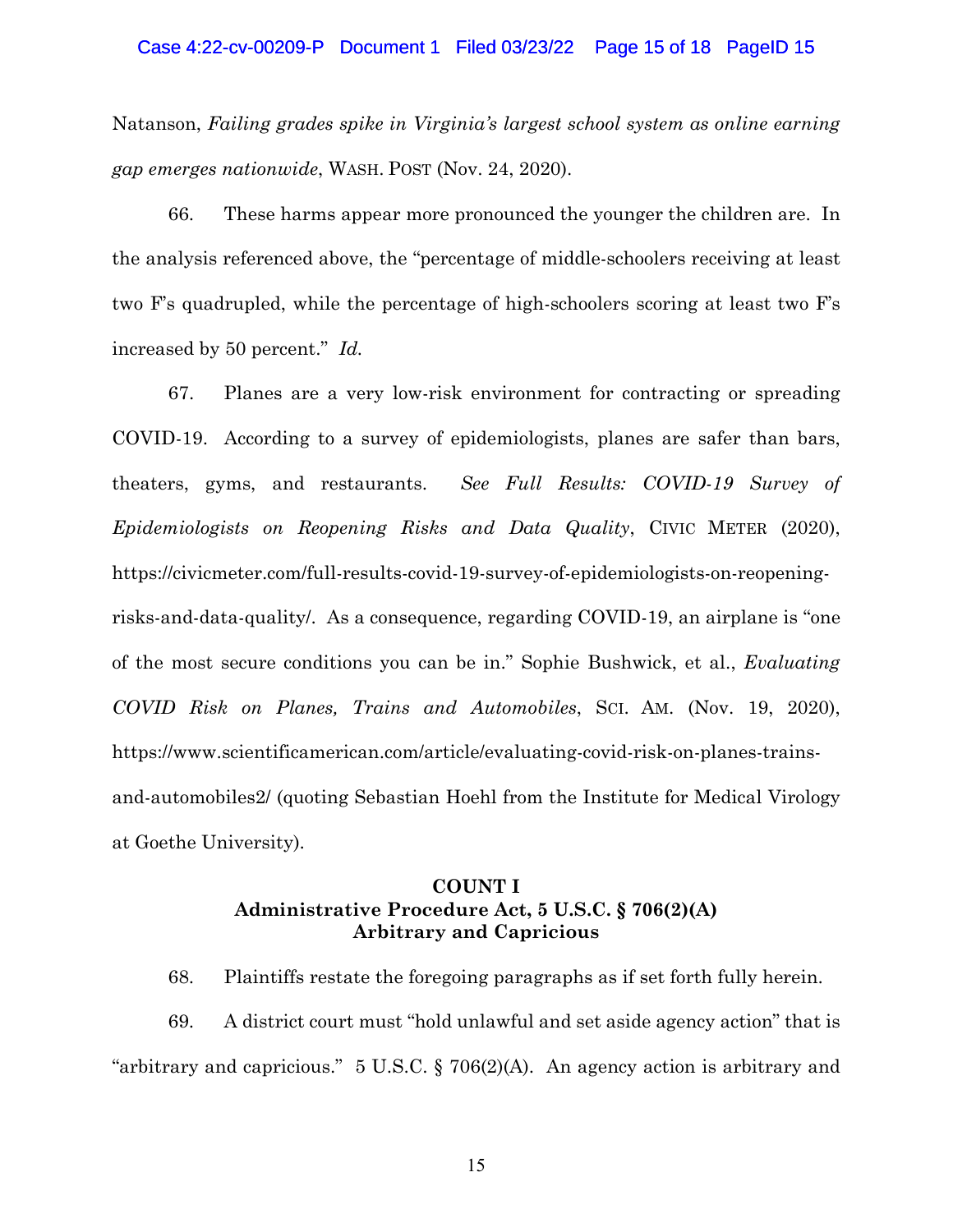### Case 4:22-cv-00209-P Document 1 Filed 03/23/22 Page 15 of 18 PageID 15

Natanson, *Failing grades spike in Virginia's largest school system as online earning gap emerges nationwide*, WASH. POST (Nov. 24, 2020).

66. These harms appear more pronounced the younger the children are. In the analysis referenced above, the "percentage of middle-schoolers receiving at least two F's quadrupled, while the percentage of high-schoolers scoring at least two F's increased by 50 percent." *Id.*

67. Planes are a very low-risk environment for contracting or spreading COVID-19. According to a survey of epidemiologists, planes are safer than bars, theaters, gyms, and restaurants. *See Full Results: COVID-19 Survey of Epidemiologists on Reopening Risks and Data Quality*, CIVIC METER (2020), [https://civicmeter.com/full-results-covid-19-survey-of-epidemiologists-on-reopening](https://civicmeter.com/full-results-covid-19-survey-of-epidemiologists-on-reopening-risks-and-data-quality/)[risks-and-data-quality/.](https://civicmeter.com/full-results-covid-19-survey-of-epidemiologists-on-reopening-risks-and-data-quality/) As a consequence, regarding COVID-19, an airplane is "one of the most secure conditions you can be in." Sophie Bushwick, et al., *Evaluating COVID Risk on Planes, Trains and Automobiles*, SCI. AM. (Nov. 19, 2020), [https://www.scientificamerican.com/article/evaluating-covid-risk-on-planes-trains](https://www.scientificamerican.com/article/evaluating-covid-risk-on-planes-trains-and-automobiles2/)[and-automobiles2/](https://www.scientificamerican.com/article/evaluating-covid-risk-on-planes-trains-and-automobiles2/) (quoting Sebastian Hoehl from the Institute for Medical Virology at Goethe University).

# **COUNT I Administrative Procedure Act, 5 U.S.C. § 706(2)(A) Arbitrary and Capricious**

68. Plaintiffs restate the foregoing paragraphs as if set forth fully herein.

69. A district court must "hold unlawful and set aside agency action" that is "arbitrary and capricious." 5 U.S.C. § 706(2)(A). An agency action is arbitrary and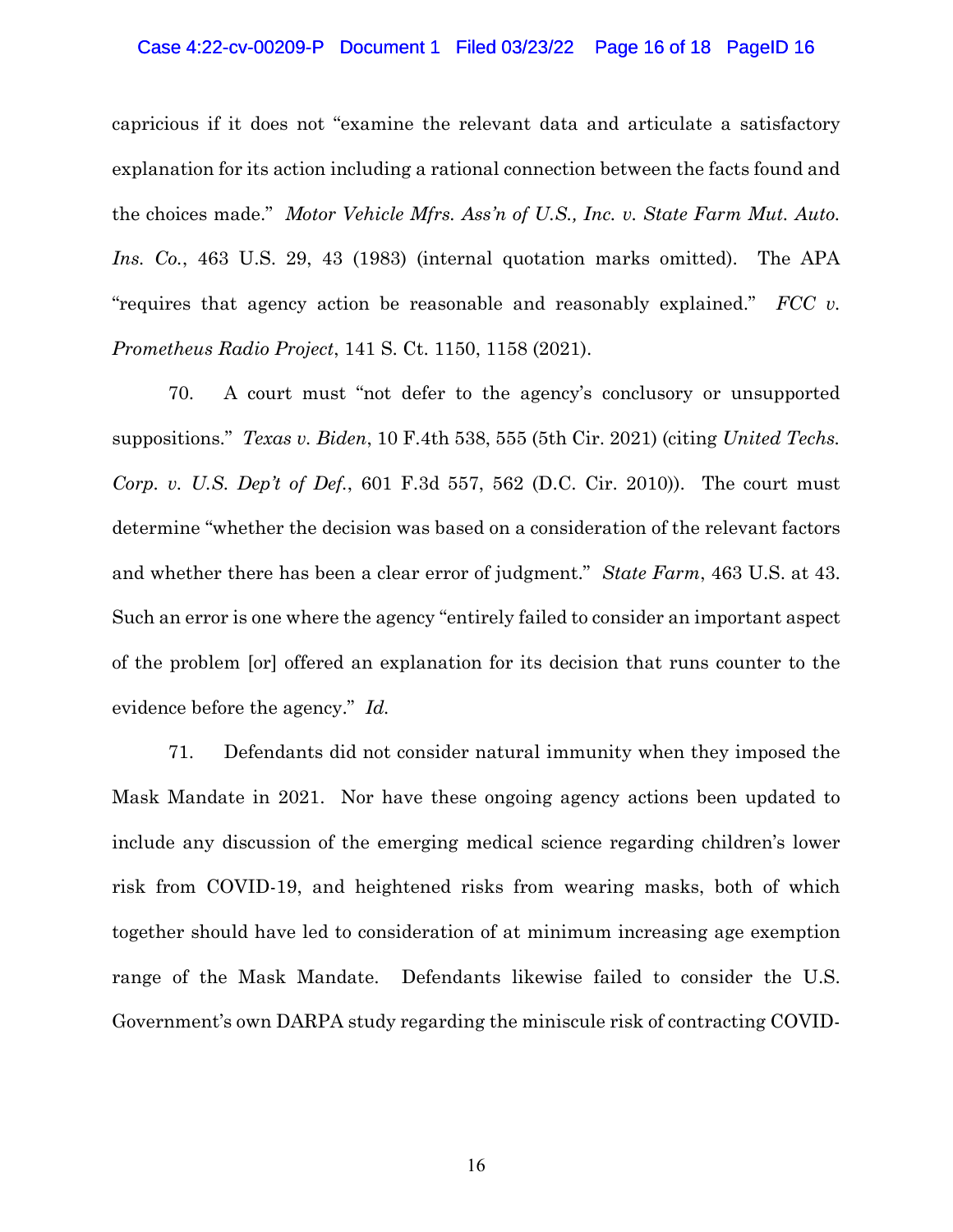#### Case 4:22-cv-00209-P Document 1 Filed 03/23/22 Page 16 of 18 PageID 16

capricious if it does not "examine the relevant data and articulate a satisfactory explanation for its action including a rational connection between the facts found and the choices made." *Motor Vehicle Mfrs. Ass'n of U.S., Inc. v. State Farm Mut. Auto. Ins. Co.*, 463 U.S. 29, 43 (1983) (internal quotation marks omitted). The APA "requires that agency action be reasonable and reasonably explained." *FCC v. Prometheus Radio Project*, 141 S. Ct. 1150, 1158 (2021).

70. A court must "not defer to the agency's conclusory or unsupported suppositions." *Texas v. Biden*, 10 F.4th 538, 555 (5th Cir. 2021) (citing *United Techs. Corp. v. U.S. Dep't of Def.*, 601 F.3d 557, 562 (D.C. Cir. 2010)). The court must determine "whether the decision was based on a consideration of the relevant factors and whether there has been a clear error of judgment." *State Farm*, 463 U.S. at 43. Such an error is one where the agency "entirely failed to consider an important aspect of the problem [or] offered an explanation for its decision that runs counter to the evidence before the agency." *Id.*

71. Defendants did not consider natural immunity when they imposed the Mask Mandate in 2021. Nor have these ongoing agency actions been updated to include any discussion of the emerging medical science regarding children's lower risk from COVID-19, and heightened risks from wearing masks, both of which together should have led to consideration of at minimum increasing age exemption range of the Mask Mandate. Defendants likewise failed to consider the U.S. Government's own DARPA study regarding the miniscule risk of contracting COVID-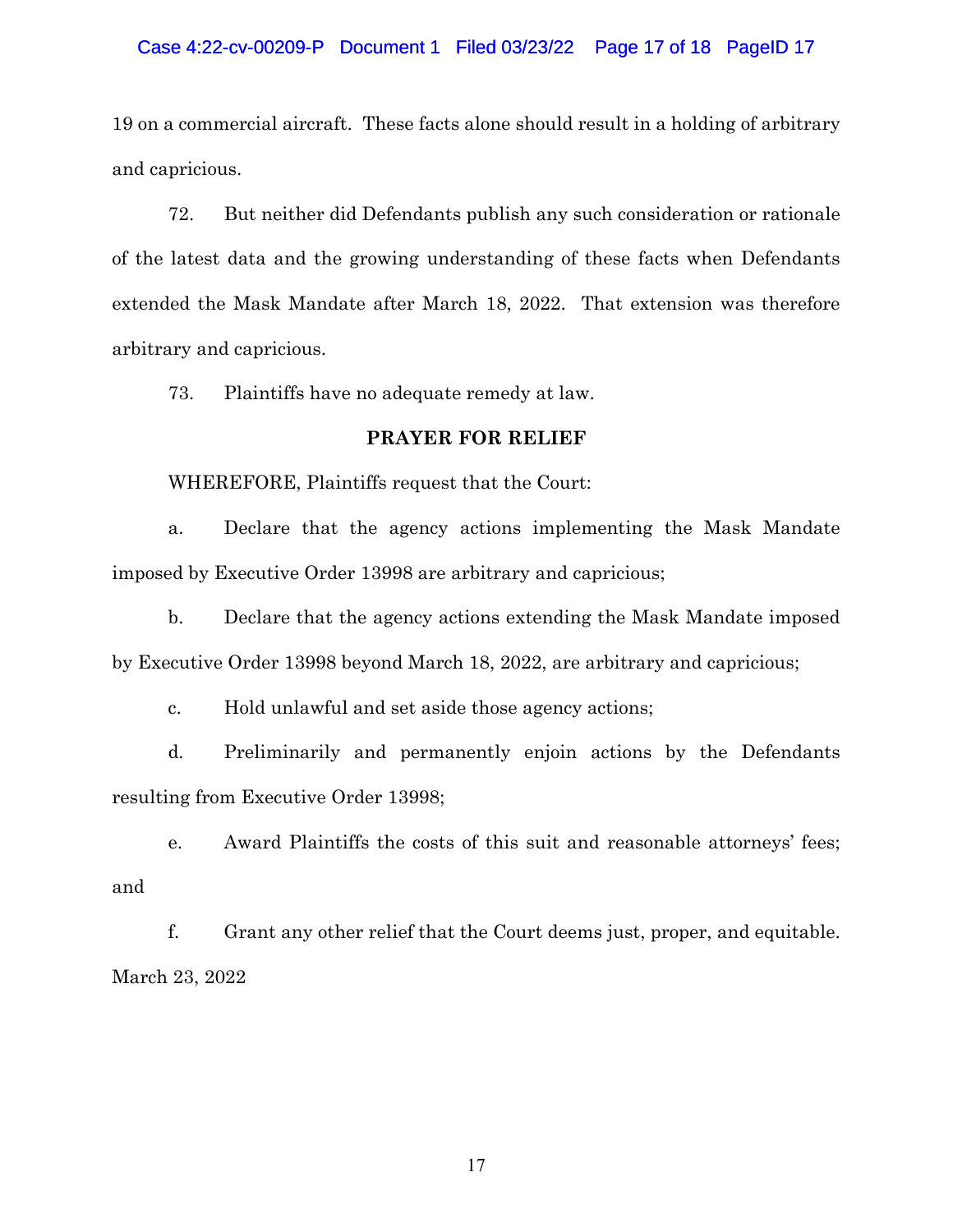### Case 4:22-cv-00209-P Document 1 Filed 03/23/22 Page 17 of 18 PageID 17

19 on a commercial aircraft. These facts alone should result in a holding of arbitrary and capricious.

72. But neither did Defendants publish any such consideration or rationale of the latest data and the growing understanding of these facts when Defendants extended the Mask Mandate after March 18, 2022. That extension was therefore arbitrary and capricious.

73. Plaintiffs have no adequate remedy at law.

### **PRAYER FOR RELIEF**

WHEREFORE, Plaintiffs request that the Court:

a. Declare that the agency actions implementing the Mask Mandate imposed by Executive Order 13998 are arbitrary and capricious;

b. Declare that the agency actions extending the Mask Mandate imposed by Executive Order 13998 beyond March 18, 2022, are arbitrary and capricious;

c. Hold unlawful and set aside those agency actions;

d. Preliminarily and permanently enjoin actions by the Defendants resulting from Executive Order 13998;

e. Award Plaintiffs the costs of this suit and reasonable attorneys' fees; and

f. Grant any other relief that the Court deems just, proper, and equitable. March 23, 2022